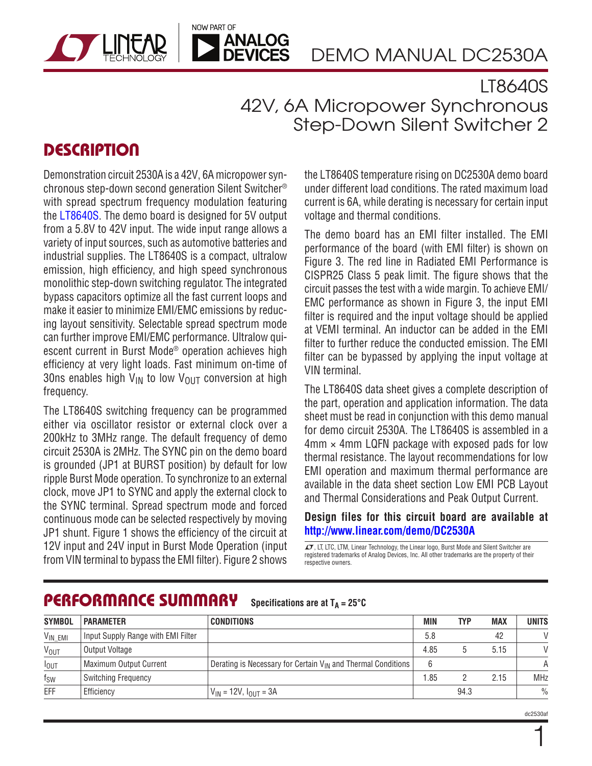DEMO MANUAL DC2530A

## LT8640S 42V, 6A Micropower Synchronous Step-Down Silent Switcher 2

## **DESCRIPTION**

Demonstration circuit 2530A is a 42V, 6A micropower synchronous step-down second generation Silent Switcher® with spread spectrum frequency modulation featuring the [LT8640S](http://www.linear.com/LT8640S). The demo board is designed for 5V output from a 5.8V to 42V input. The wide input range allows a variety of input sources, such as automotive batteries and industrial supplies. The LT8640S is a compact, ultralow emission, high efficiency, and high speed synchronous monolithic step-down switching regulator. The integrated bypass capacitors optimize all the fast current loops and make it easier to minimize EMI/EMC emissions by reducing layout sensitivity. Selectable spread spectrum mode can further improve EMI/EMC performance. Ultralow quiescent current in Burst Mode® operation achieves high efficiency at very light loads. Fast minimum on-time of 30ns enables high  $V_{IN}$  to low  $V_{OUIT}$  conversion at high frequency.

NOW PART OF

**ANALOG DEVICES** 

The LT8640S switching frequency can be programmed either via oscillator resistor or external clock over a 200kHz to 3MHz range. The default frequency of demo circuit 2530A is 2MHz. The SYNC pin on the demo board is grounded (JP1 at BURST position) by default for low ripple Burst Mode operation. To synchronize to an external clock, move JP1 to SYNC and apply the external clock to the SYNC terminal. Spread spectrum mode and forced continuous mode can be selected respectively by moving JP1 shunt. Figure 1 shows the efficiency of the circuit at 12V input and 24V input in Burst Mode Operation (input from VIN terminal to bypass the EMI filter). Figure 2 shows

the LT8640S temperature rising on DC2530A demo board under different load conditions. The rated maximum load current is 6A, while derating is necessary for certain input voltage and thermal conditions.

The demo board has an EMI filter installed. The EMI performance of the board (with EMI filter) is shown on Figure 3. The red line in Radiated EMI Performance is CISPR25 Class 5 peak limit. The figure shows that the circuit passes the test with a wide margin. To achieve EMI/ EMC performance as shown in Figure 3, the input EMI filter is required and the input voltage should be applied at VEMI terminal. An inductor can be added in the EMI filter to further reduce the conducted emission. The EMI filter can be bypassed by applying the input voltage at VIN terminal.

The LT8640S data sheet gives a complete description of the part, operation and application information. The data sheet must be read in conjunction with this demo manual for demo circuit 2530A. The LT8640S is assembled in a  $4 \text{mm} \times 4 \text{mm}$  LQFN package with exposed pads for low thermal resistance. The layout recommendations for low EMI operation and maximum thermal performance are available in the data sheet section Low EMI PCB Layout and Thermal Considerations and Peak Output Current.

#### **Design files for this circuit board are available at <http://www.linear.com/demo/DC2530A>**

 $\Gamma$ , LT, LTC, LTM, Linear Technology, the Linear logo, Burst Mode and Silent Switcher are registered trademarks of Analog Devices, Inc. All other trademarks are the property of their respective owners.

#### PERFORMANCE SUMMARY **Specifications are at**  $T_A = 25^\circ C$

| <b>SYMBOL</b>          | <b>PARAMETER</b>                   | <b>CONDITIONS</b>                                                        | <b>MIN</b> | <b>TYP</b> | <b>MAX</b> | <b>UNITS</b>  |
|------------------------|------------------------------------|--------------------------------------------------------------------------|------------|------------|------------|---------------|
| V <sub>IN_EMI</sub>    | Input Supply Range with EMI Filter |                                                                          | 5.8        |            | 42         | $\mathcal{U}$ |
| <b>V<sub>OUT</sub></b> | Output Voltage                     |                                                                          | 4.85       |            | 5.15       | $\mathcal{U}$ |
| $I_{\text{OUT}}$       | Maximum Output Current             | Derating is Necessary for Certain V <sub>IN</sub> and Thermal Conditions |            |            |            |               |
| $f_{SW}$               | Switching Frequency                |                                                                          | l.85       |            | 2.15       | <b>MHz</b>    |
| EFF                    | Efficiency                         | $V_{IN}$ = 12V, $I_{OUIT}$ = 3A                                          |            | 94.3       |            | $\frac{0}{0}$ |

1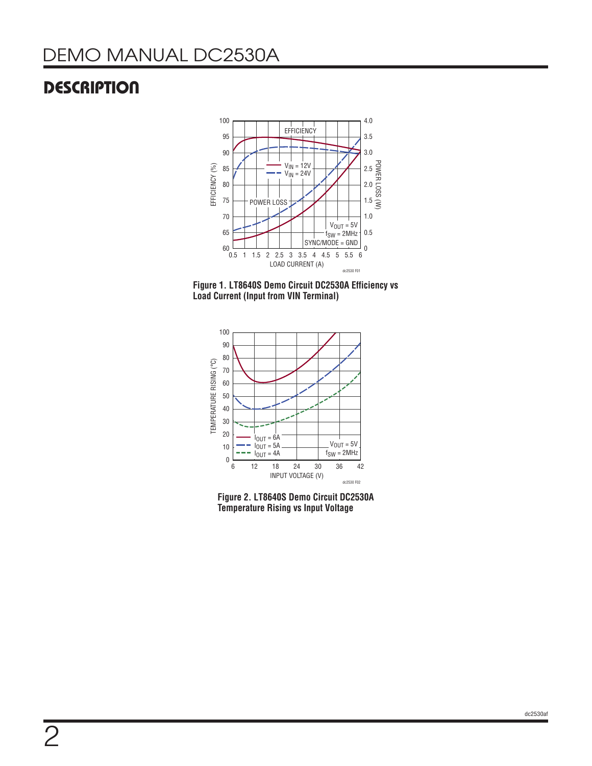## **DESCRIPTION**



**Figure 1. LT8640S Demo Circuit DC2530A Efficiency vs Load Current (Input from VIN Terminal)**



**Figure 2. LT8640S Demo Circuit DC2530A Temperature Rising vs Input Voltage**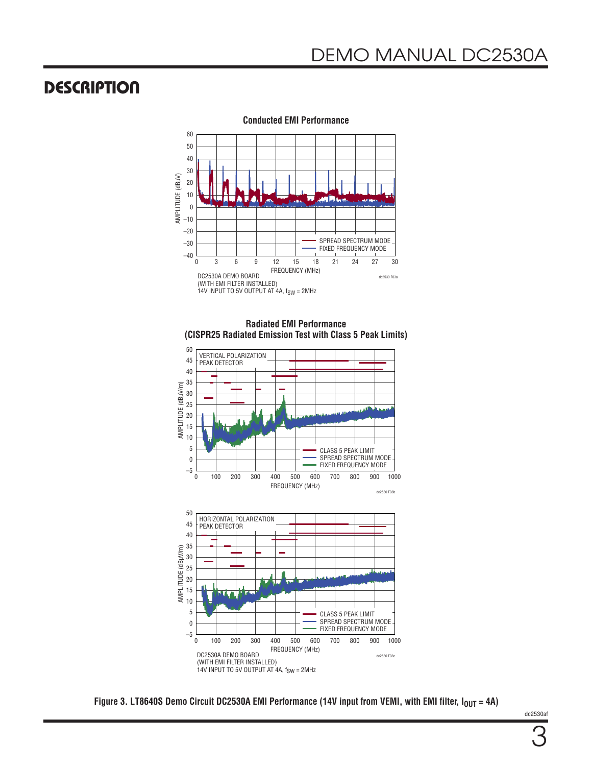### **DESCRIPTION**



**Conducted EMI Performance**

**Radiated EMI Performance (CISPR25 Radiated Emission Test with Class 5 Peak Limits)** 



Figure 3. LT8640S Demo Circuit DC2530A EMI Performance (14V input from VEMI, with EMI filter,  $I_{OUT} = 4A$ )

dc2530af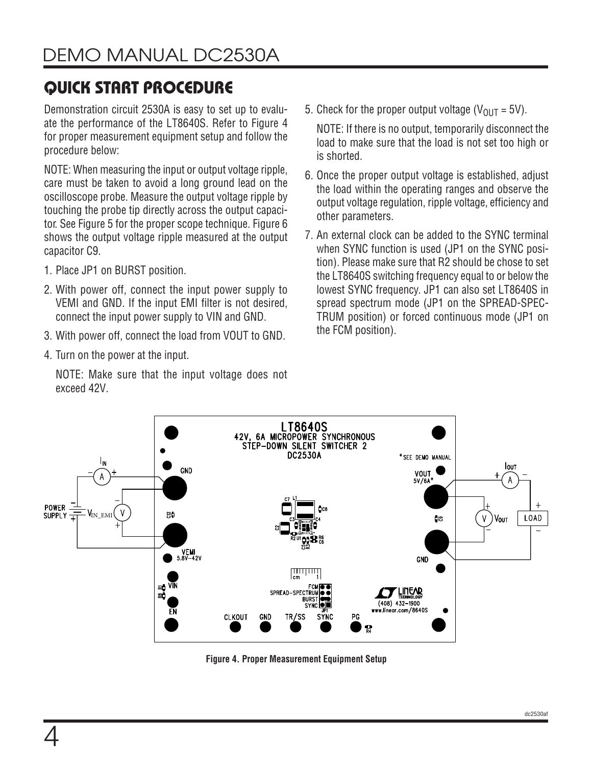# QUICK START PROCEDURE

Demonstration circuit 2530A is easy to set up to evaluate the performance of the LT8640S. Refer to Figure 4 for proper measurement equipment setup and follow the procedure below:

NOTE: When measuring the input or output voltage ripple, care must be taken to avoid a long ground lead on the oscilloscope probe. Measure the output voltage ripple by touching the probe tip directly across the output capacitor. See Figure 5 for the proper scope technique. Figure 6 shows the output voltage ripple measured at the output capacitor C9.

- 1. Place JP1 on BURST position.
- 2. With power off, connect the input power supply to VEMI and GND. If the input EMI filter is not desired, connect the input power supply to VIN and GND.
- 3. With power off, connect the load from VOUT to GND.
- 4. Turn on the power at the input.

NOTE: Make sure that the input voltage does not exceed 42V.

5. Check for the proper output voltage ( $V_{OIII}$  = 5V).

NOTE: If there is no output, temporarily disconnect the load to make sure that the load is not set too high or is shorted.

- 6. Once the proper output voltage is established, adjust the load within the operating ranges and observe the output voltage regulation, ripple voltage, efficiency and other parameters.
- 7. An external clock can be added to the SYNC terminal when SYNC function is used (JP1 on the SYNC position). Please make sure that R2 should be chose to set the LT8640S switching frequency equal to or below the lowest SYNC frequency. JP1 can also set LT8640S in spread spectrum mode (JP1 on the SPREAD-SPEC-TRUM position) or forced continuous mode (JP1 on the FCM position).



**Figure 4. Proper Measurement Equipment Setup**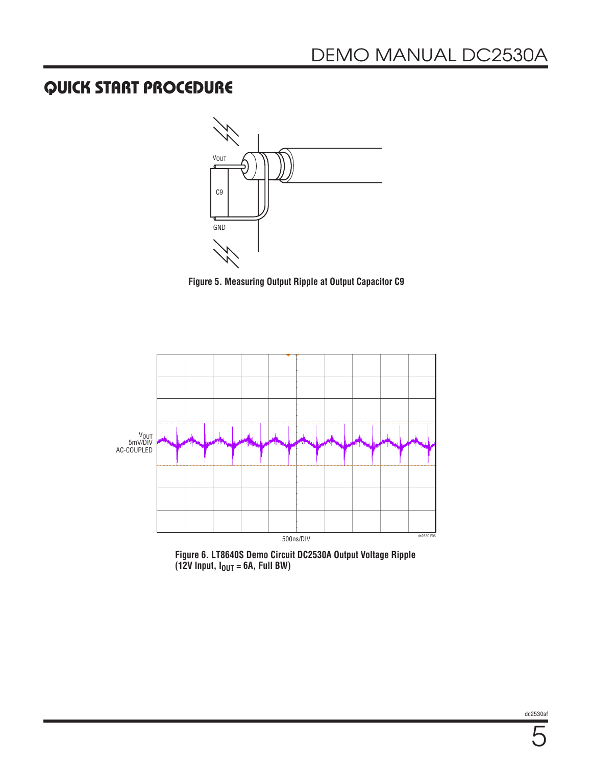## QUICK START PROCEDURE



**Figure 5. Measuring Output Ripple at Output Capacitor C9**



**Figure 6. LT8640S Demo Circuit DC2530A Output Voltage Ripple**   $(12V \text{ Input}, I_{OUT} = 6A, Full BW)$ 

dc2530af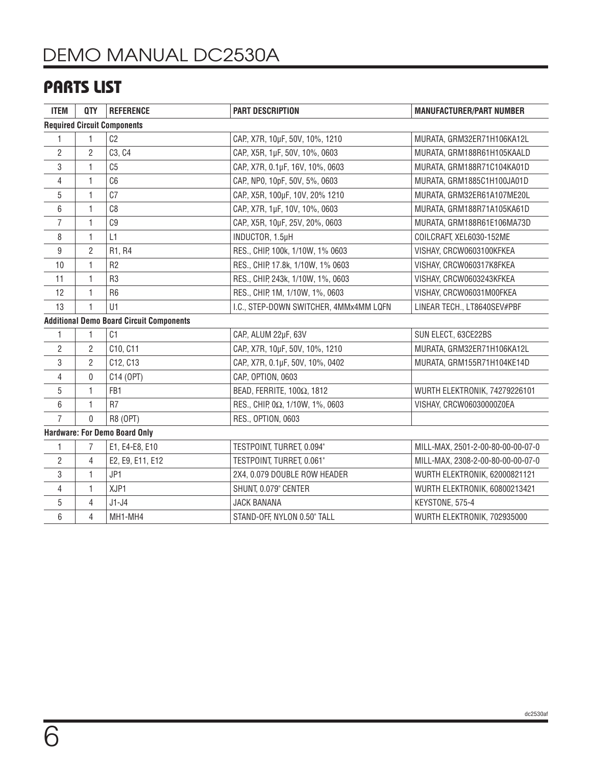# DEMO MANUAL DC2530A

## PARTS LIST

| <b>ITEM</b>                          | QTY            | <b>REFERENCE</b>                                | <b>PART DESCRIPTION</b>                | <b>MANUFACTURER/PART NUMBER</b>   |  |  |  |  |  |
|--------------------------------------|----------------|-------------------------------------------------|----------------------------------------|-----------------------------------|--|--|--|--|--|
| <b>Required Circuit Components</b>   |                |                                                 |                                        |                                   |  |  |  |  |  |
| 1                                    | 1              | C <sub>2</sub>                                  | CAP., X7R, 10µF, 50V, 10%, 1210        | MURATA, GRM32ER71H106KA12L        |  |  |  |  |  |
| $\overline{2}$                       | $\overline{2}$ | C3, C4                                          | CAP., X5R, 1µF, 50V, 10%, 0603         | MURATA, GRM188R61H105KAALD        |  |  |  |  |  |
| 3                                    | 1              | C <sub>5</sub>                                  | CAP., X7R, 0.1µF, 16V, 10%, 0603       | MURATA, GRM188R71C104KA01D        |  |  |  |  |  |
| 4                                    | $\mathbf{1}$   | C <sub>6</sub>                                  | CAP., NP0, 10pF, 50V, 5%, 0603         | MURATA, GRM1885C1H100JA01D        |  |  |  |  |  |
| 5                                    | $\mathbf{1}$   | C <sub>7</sub>                                  | CAP., X5R, 100µF, 10V, 20% 1210        | MURATA, GRM32ER61A107ME20L        |  |  |  |  |  |
| 6                                    | $\mathbf{1}$   | C8                                              | CAP., X7R, 1µF, 10V, 10%, 0603         | MURATA, GRM188R71A105KA61D        |  |  |  |  |  |
| 7                                    | 1              | C <sub>9</sub>                                  | CAP., X5R, 10µF, 25V, 20%, 0603        | MURATA, GRM188R61E106MA73D        |  |  |  |  |  |
| 8                                    | $\mathbf{1}$   | L1                                              | INDUCTOR, 1.5µH                        | COILCRAFT, XEL6030-152ME          |  |  |  |  |  |
| 9                                    | $\overline{2}$ | R1, R4                                          | RES., CHIP, 100k, 1/10W, 1% 0603       | VISHAY, CRCW0603100KFKEA          |  |  |  |  |  |
| 10                                   | $\mathbf{1}$   | R <sub>2</sub>                                  | RES., CHIP, 17.8k, 1/10W, 1% 0603      | VISHAY, CRCW060317K8FKEA          |  |  |  |  |  |
| 11                                   | $\mathbf{1}$   | R <sub>3</sub>                                  | RES., CHIP, 243k, 1/10W, 1%, 0603      | VISHAY, CRCW0603243KFKEA          |  |  |  |  |  |
| 12                                   | $\mathbf{1}$   | R <sub>6</sub>                                  | RES., CHIP, 1M, 1/10W, 1%, 0603        | VISHAY, CRCW06031M00FKEA          |  |  |  |  |  |
| 13                                   | $\mathbf{1}$   | U1                                              | I.C., STEP-DOWN SWITCHER, 4MMx4MM LQFN | LINEAR TECH., LT8640SEV#PBF       |  |  |  |  |  |
|                                      |                | <b>Additional Demo Board Circuit Components</b> |                                        |                                   |  |  |  |  |  |
| 1                                    | $\mathbf{1}$   | C1                                              | CAP., ALUM 22µF, 63V                   | SUN ELECT., 63CE22BS              |  |  |  |  |  |
| 2                                    | $\overline{2}$ | C10, C11                                        | CAP., X7R, 10µF, 50V, 10%, 1210        | MURATA, GRM32ER71H106KA12L        |  |  |  |  |  |
| 3                                    | $\overline{2}$ | C12, C13                                        | CAP, X7R, 0.1µF, 50V, 10%, 0402        | MURATA, GRM155R71H104KE14D        |  |  |  |  |  |
| 4                                    | 0              | C14 (OPT)                                       | CAP., OPTION, 0603                     |                                   |  |  |  |  |  |
| 5                                    | $\mathbf{1}$   | FB <sub>1</sub>                                 | BEAD, FERRITE, 100Ω, 1812              | WURTH ELEKTRONIK, 74279226101     |  |  |  |  |  |
| 6                                    | $\mathbf{1}$   | R <sub>7</sub>                                  | RES., CHIP, 0Ω, 1/10W, 1%, 0603        | VISHAY, CRCW06030000Z0EA          |  |  |  |  |  |
| $\overline{7}$                       | $\mathbf{0}$   | R8 (OPT)                                        | RES., OPTION, 0603                     |                                   |  |  |  |  |  |
| <b>Hardware: For Demo Board Only</b> |                |                                                 |                                        |                                   |  |  |  |  |  |
| 1                                    | $\overline{7}$ | E1, E4-E8, E10                                  | TESTPOINT, TURRET, 0.094"              | MILL-MAX, 2501-2-00-80-00-00-07-0 |  |  |  |  |  |
| $\overline{2}$                       | $\overline{4}$ | E2, E9, E11, E12                                | TESTPOINT, TURRET, 0.061"              | MILL-MAX, 2308-2-00-80-00-00-07-0 |  |  |  |  |  |
| 3                                    | $\mathbf{1}$   | JP1                                             | 2X4, 0.079 DOUBLE ROW HEADER           | WURTH ELEKTRONIK, 62000821121     |  |  |  |  |  |
| 4                                    | 1              | XJP1                                            | SHUNT, 0.079" CENTER                   | WURTH ELEKTRONIK, 60800213421     |  |  |  |  |  |
| 5                                    | $\overline{4}$ | $J1-J4$                                         | <b>JACK BANANA</b>                     | KEYSTONE, 575-4                   |  |  |  |  |  |
| 6                                    | 4              | MH1-MH4                                         | STAND-OFF, NYLON 0.50" TALL            | WURTH ELEKTRONIK, 702935000       |  |  |  |  |  |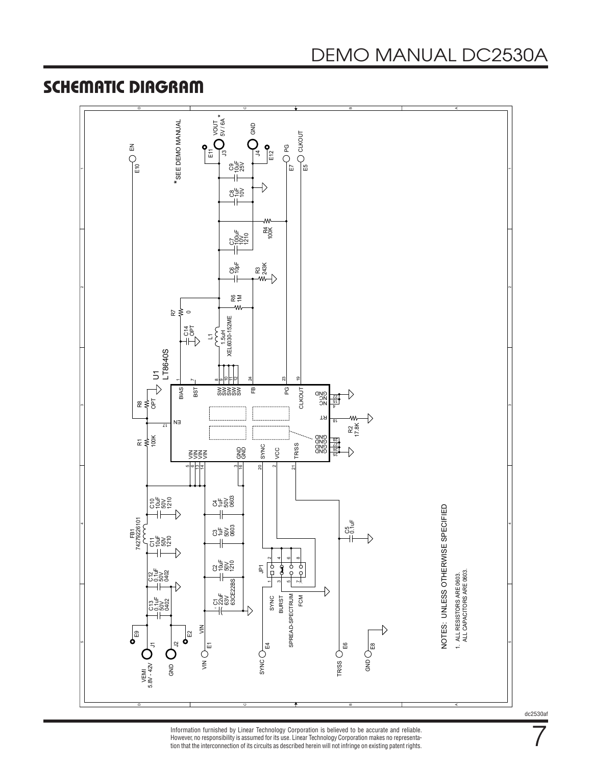### SCHEMATIC DIAGRAM



Information furnished by Linear Technology Corporation is believed to be accurate and reliable. However, no responsibility is assumed for its use. Linear Technology Corporation makes no representation that the interconnection of its circuits as described herein will not infringe on existing patent rights. 7